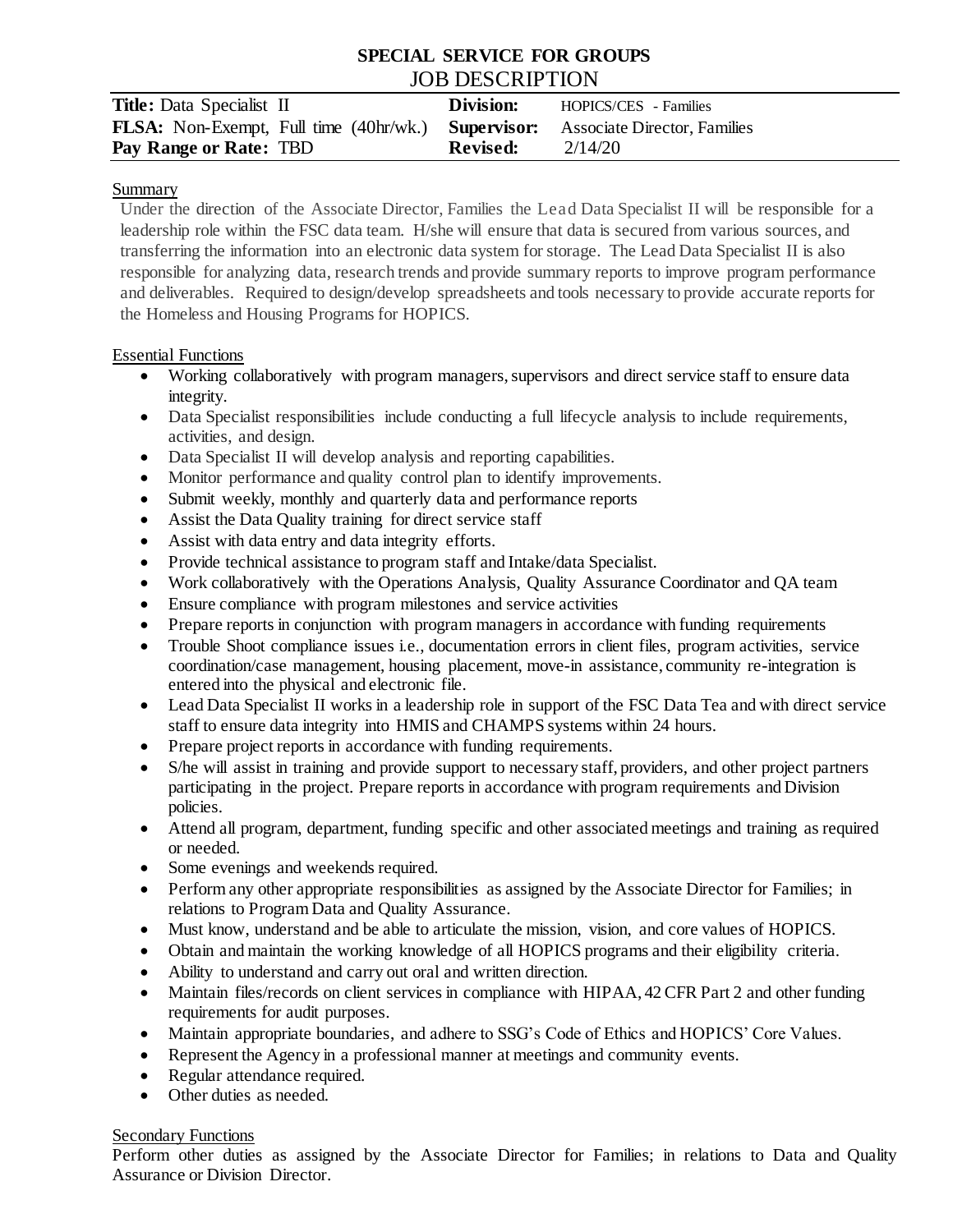# **SPECIAL SERVICE FOR GROUPS** JOB DESCRIPTION

| <b>Title:</b> Data Specialist II                                                              | Division:       | HOPICS/CES - Families |
|-----------------------------------------------------------------------------------------------|-----------------|-----------------------|
| <b>FLSA:</b> Non-Exempt, Full time (40hr/wk.) <b>Supervisor:</b> Associate Director, Families |                 |                       |
| Pay Range or Rate: TBD                                                                        | <b>Revised:</b> | 2/14/20               |

### Summary

Under the direction of the Associate Director, Families the Lead Data Specialist II will be responsible for a leadership role within the FSC data team. H/she will ensure that data is secured from various sources, and transferring the information into an electronic data system for storage. The Lead Data Specialist II is also responsible for analyzing data, research trends and provide summary reports to improve program performance and deliverables. Required to design/develop spreadsheets and tools necessary to provide accurate reports for the Homeless and Housing Programs for HOPICS.

## Essential Functions

- Working collaboratively with program managers, supervisors and direct service staff to ensure data integrity.
- Data Specialist responsibilities include conducting a full lifecycle analysis to include requirements, activities, and design.
- Data Specialist II will develop analysis and reporting capabilities.
- Monitor performance and quality control plan to identify improvements.
- Submit weekly, monthly and quarterly data and performance reports
- Assist the Data Quality training for direct service staff
- Assist with data entry and data integrity efforts.
- Provide technical assistance to program staff and Intake/data Specialist.
- Work collaboratively with the Operations Analysis, Quality Assurance Coordinator and QA team
- Ensure compliance with program milestones and service activities
- Prepare reports in conjunction with program managers in accordance with funding requirements
- Trouble Shoot compliance issues i.e., documentation errors in client files, program activities, service coordination/case management, housing placement, move-in assistance, community re-integration is entered into the physical and electronic file.
- Lead Data Specialist II works in a leadership role in support of the FSC Data Tea and with direct service staff to ensure data integrity into HMIS and CHAMPS systems within 24 hours.
- Prepare project reports in accordance with funding requirements.
- S/he will assist in training and provide support to necessary staff, providers, and other project partners participating in the project. Prepare reports in accordance with program requirements and Division policies.
- Attend all program, department, funding specific and other associated meetings and training as required or needed.
- Some evenings and weekends required.
- Perform any other appropriate responsibilities as assigned by the Associate Director for Families; in relations to Program Data and Quality Assurance.
- Must know, understand and be able to articulate the mission, vision, and core values of HOPICS.
- Obtain and maintain the working knowledge of all HOPICS programs and their eligibility criteria.
- Ability to understand and carry out oral and written direction.
- Maintain files/records on client services in compliance with HIPAA, 42 CFR Part 2 and other funding requirements for audit purposes.
- Maintain appropriate boundaries, and adhere to SSG's Code of Ethics and HOPICS' Core Values.
- Represent the Agency in a professional manner at meetings and community events.
- Regular attendance required.
- Other duties as needed.

## Secondary Functions

Perform other duties as assigned by the Associate Director for Families; in relations to Data and Quality Assurance or Division Director.